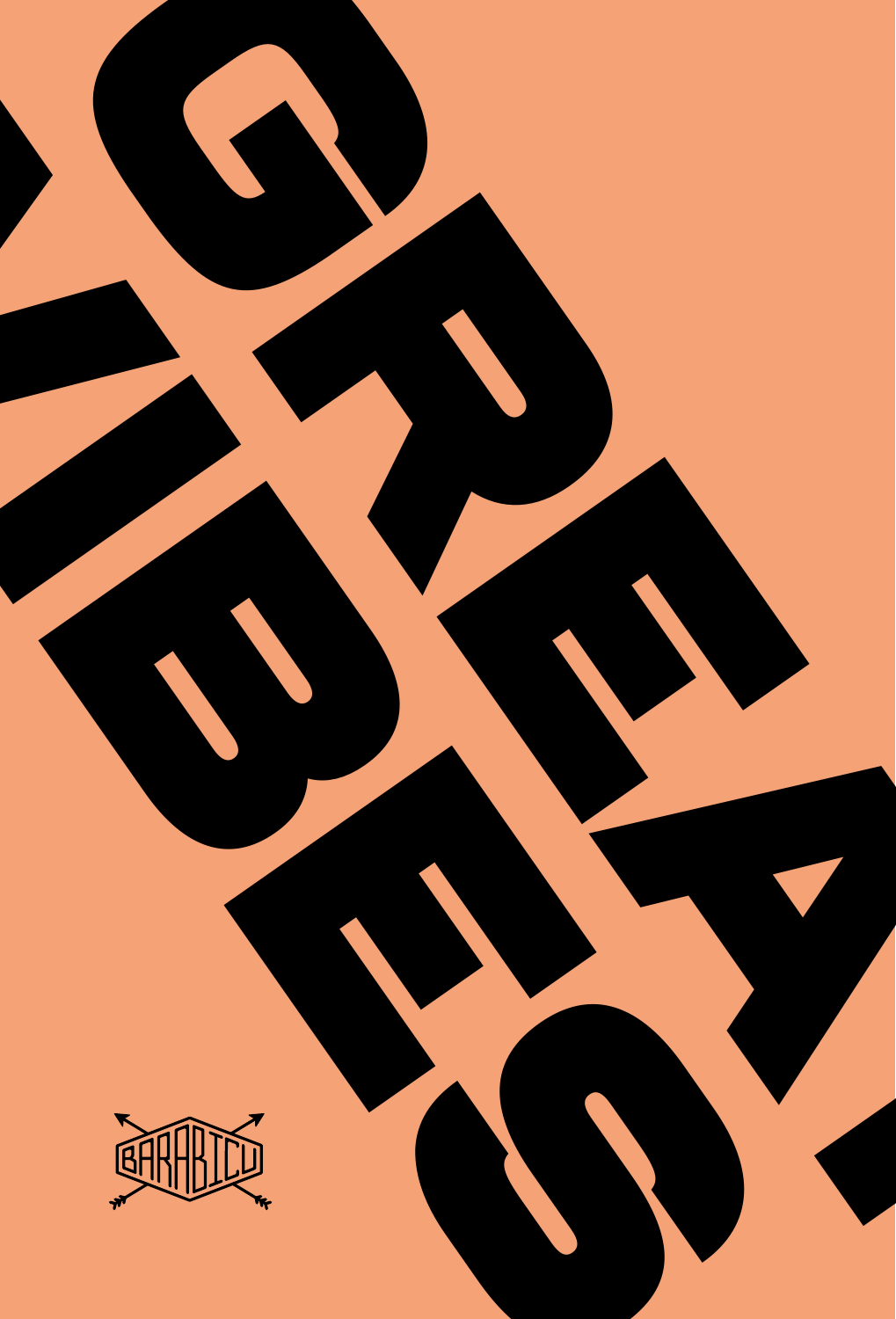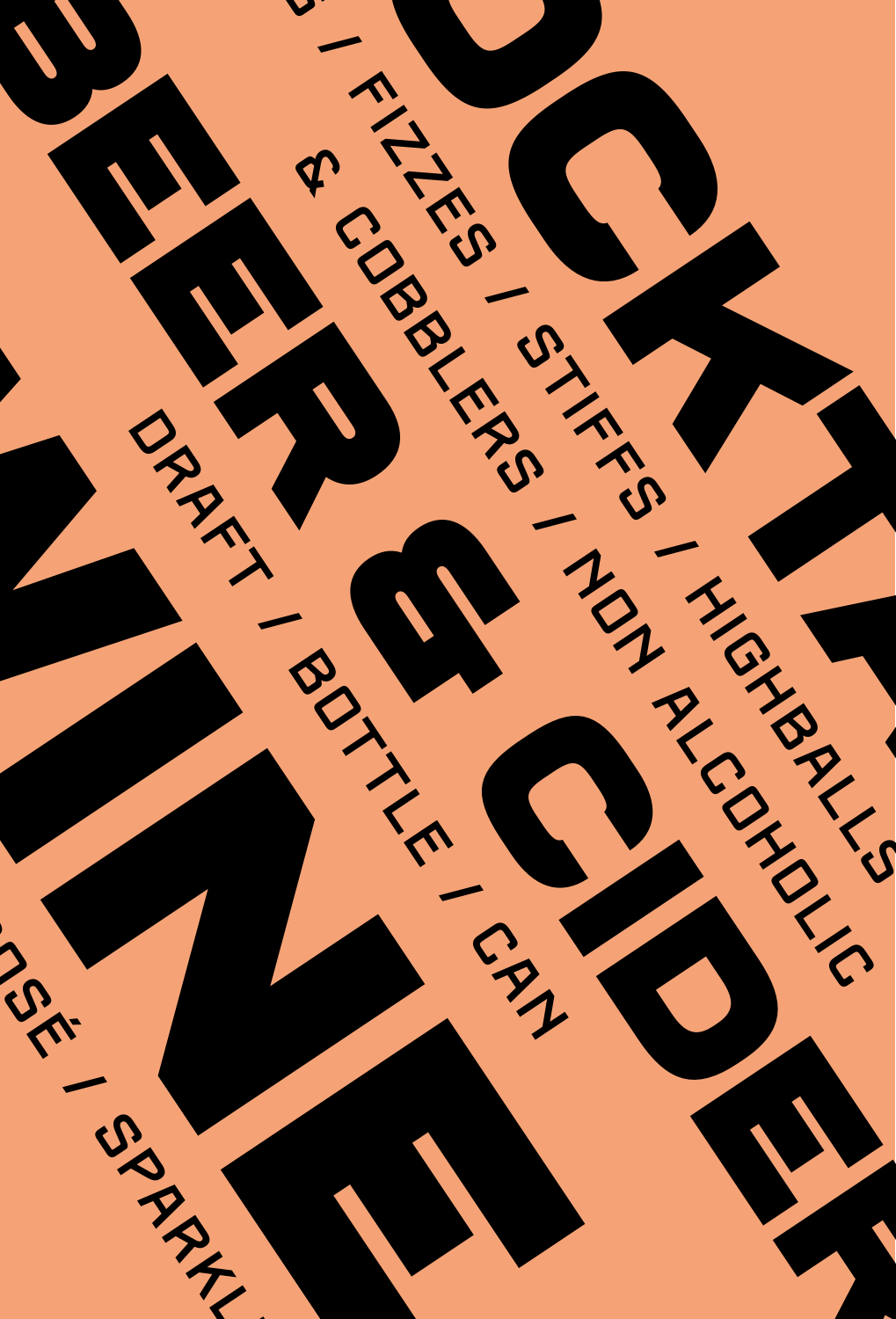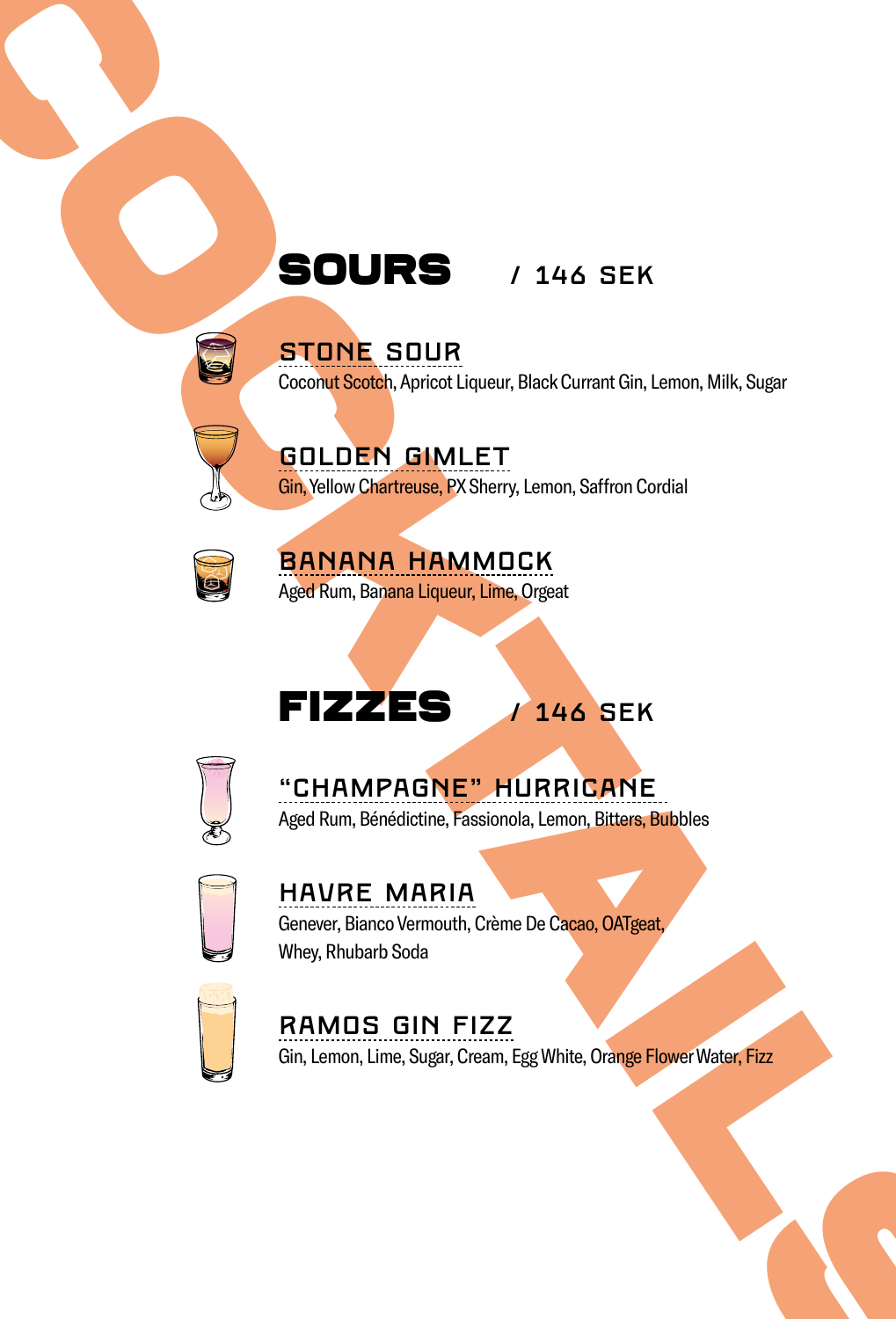## STONE SOUR

Coconut Scotch, Apricot Liqueur, Black Currant Gin, Lemon, Milk, Sugar

GOLDEN GIMLET Gin, Yellow Chartreuse, PX Sherry, Lemon, Saffron Cordial



BANANA HAMMOCK Aged Rum, Banana Liqueur, Lime, Orgeat

# FIZZES / 146 SEK



"CHAMPAGNE" HURRICANE Aged Rum, Bénédictine, Fassionola, Lemon, Bitters, Bubbles



STOLES / 146 SEK<br>
STOLES / 146 SEK<br>
COLUMBE SOUR<br>
COLUMBE SOURCE (NEWSELT CONTRACT)<br>
COLUMBE SOURCE (NEWSELT CONTRACT)<br>
COLUMBE SOURCE (NEWSELT CONTRACT)<br>
COLUMBE MARINE MORE (NEWSELT CONTRACT)<br>
COLUMBE MARINE MARINE SOURC HAVRE MARIA Genever, Bianco Vermouth, Crème De Cacao, OATgeat, Whey, Rhubarb Soda



## RAMOS GIN FIZZ

Gin, Lemon, Lime, Sugar, Cream, Egg White, Orange Flower Water, Fizz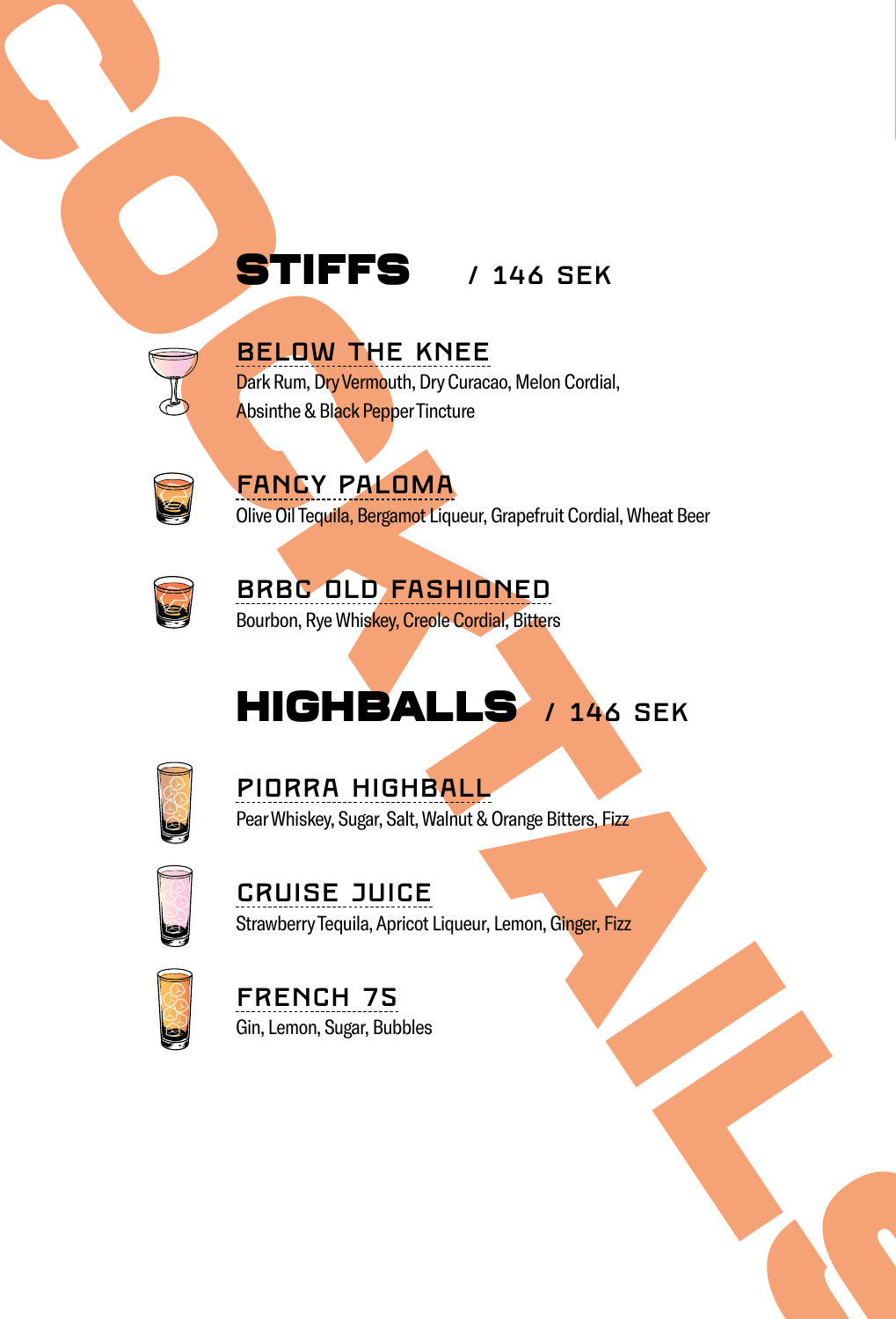## BELOW THE KNEE

Dark Rum, Dry Vermouth, Dry Curacao, Melon Cordial, Absinthe & Black Pepper Tincture



## FANCY PALOMA

Olive Oil Tequila, Bergamot Liqueur, Grapefruit Cordial, Wheat Beer



## BRBC OLD FASHIONED Bourbon, Rye Whiskey, Creole Cordial, Bitters

# STIFFS / 146 SEK<br>
BELOW THE KNEE<br>
Pricham De Vermich, Dry Gordon, Molon Certail,<br>
Analisis & Backbook Translation pricham Conduit Cordinal, Wheat Sea<br>
One Of Logic Translation State Translation Conduit Cordinal, Wheat Sea<br> HIGHBALLS / 146 SEK **STIFFS** / 146 SEK<br> **BELOW THE KNEE**<br>
BRIKEN IN THE KNEE<br>
BRIKEN PRILOMA<br>
Ahandre & Back Paper Indians, Gregefrat Cordial, Where Beer<br>
FRINCY PALOMA<br>
ONE OILD FASHIDNED<br>
BRBC DLD FASHIDNED<br>
BRBC DLD FASHIDNED<br>
FIRENCH SE,



PIORRA HIGHBALL Pear Whiskey, Sugar, Salt, Walnut & Orange Bitters, Fizz



CRUISE JUICE Strawberry Tequila, Apricot Liqueur, Lemon, Ginger, Fizz



FRENCH 75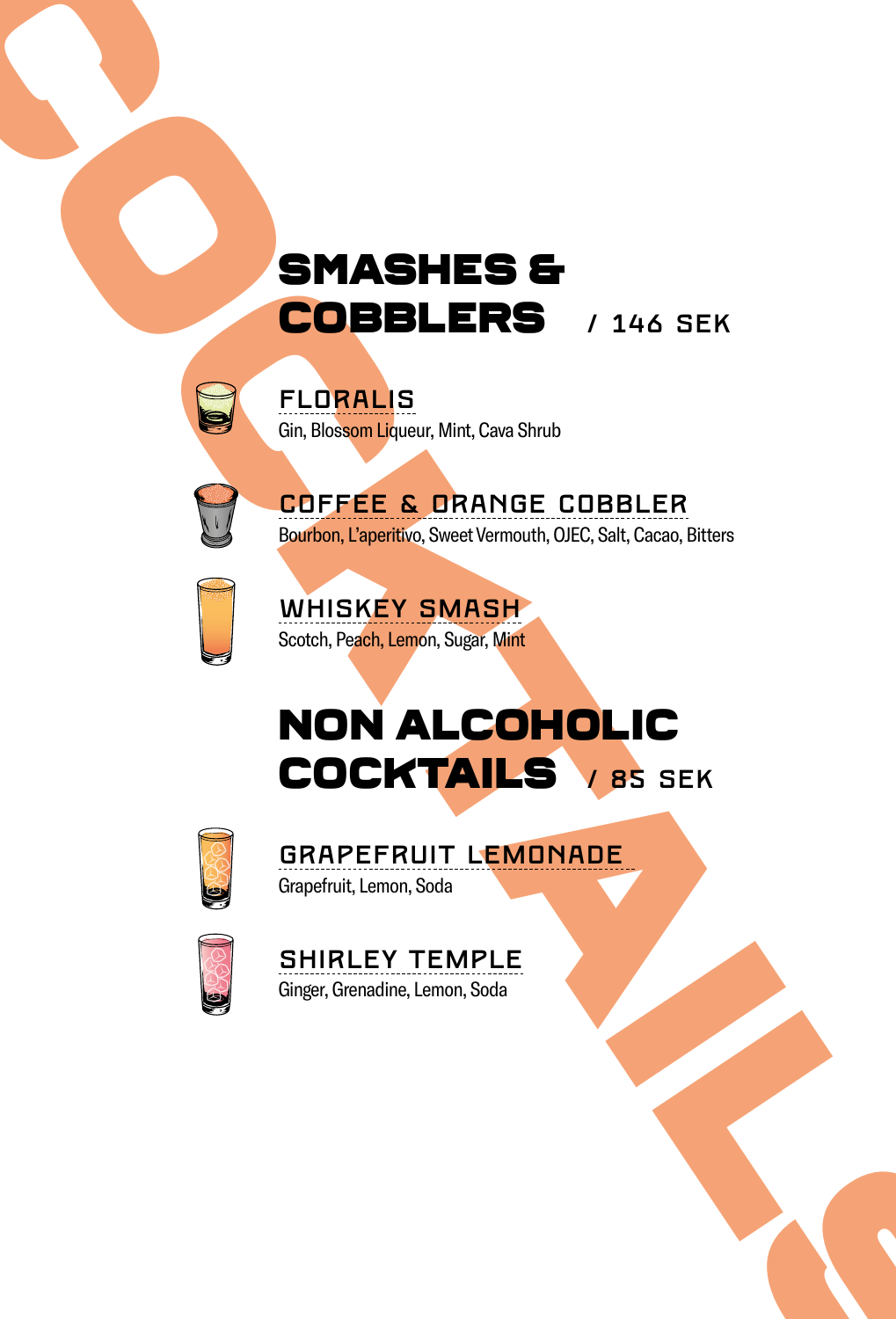# SMASHES & COBBLERS / 146 SEK<br>
COBBLERS / 146 SEK<br>
COPBLERS / 146 SEK<br>
COPPEE & DRANGE COBBLER<br>
WHISKEY SMASH<br>
NON ALCOHOLIC<br>
COCKTAILS / BS SEK<br>
GRAPEFRUIT LEMDNADE<br>
SHIRLEY TEMPLE<br>
SHIRLEY TEMPLE<br>
SHIRLEY TEMPLE<br>
SHIRLEY COBBLERS / 146 SEK



FLORALIS Gin, Blossom Liqueur, Mint, Cava Shrub



COFFEE & ORANGE COBBLER Bourbon, L'aperitivo, Sweet Vermouth, OJEC, Salt, Cacao, Bitters



COCKTAILS

WHISKEY SMASH Scotch, Peach, Lemon, Sugar, Mint

# NON ALCOHOLIC COCKTAILS / 85 SEK



GRAPEFRUIT LEMONADE Grapefruit, Lemon, Soda



SHIRLEY TEMPLE Ginger, Grenadine, Lemon, Soda